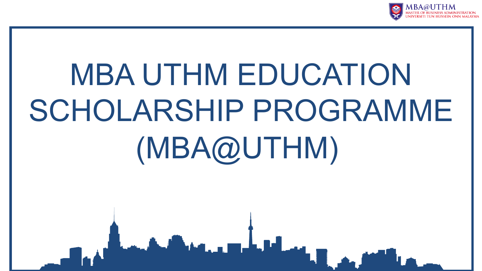

## MBA UTHM EDUCATION SCHOLARSHIP PROGRAMME (MBA@UTHM)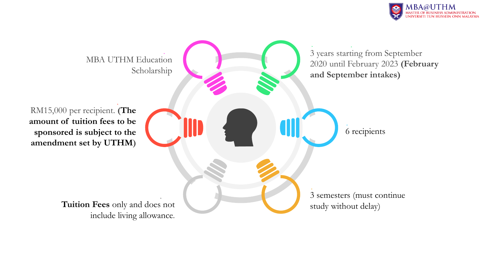

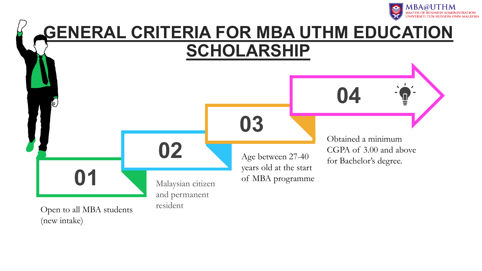



(new intake)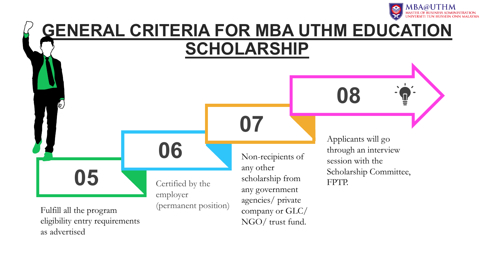



eligibility entry requirements as advertised

NGO/ trust fund.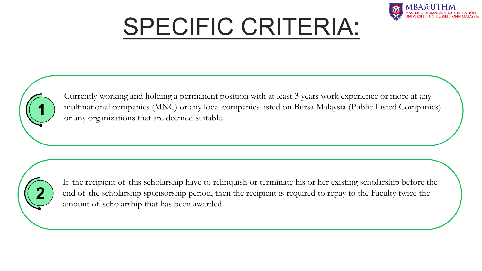## SPECIFIC CRITERIA:



Currently working and holding a permanent position with at least 3 years work experience or more at any multinational companies (MNC) or any local companies listed on Bursa Malaysia (Public Listed Companies) or any organizations that are deemed suitable. **1**



If the recipient of this scholarship have to relinquish or terminate his or her existing scholarship before the end of the scholarship sponsorship period, then the recipient is required to repay to the Faculty twice the amount of scholarship that has been awarded.